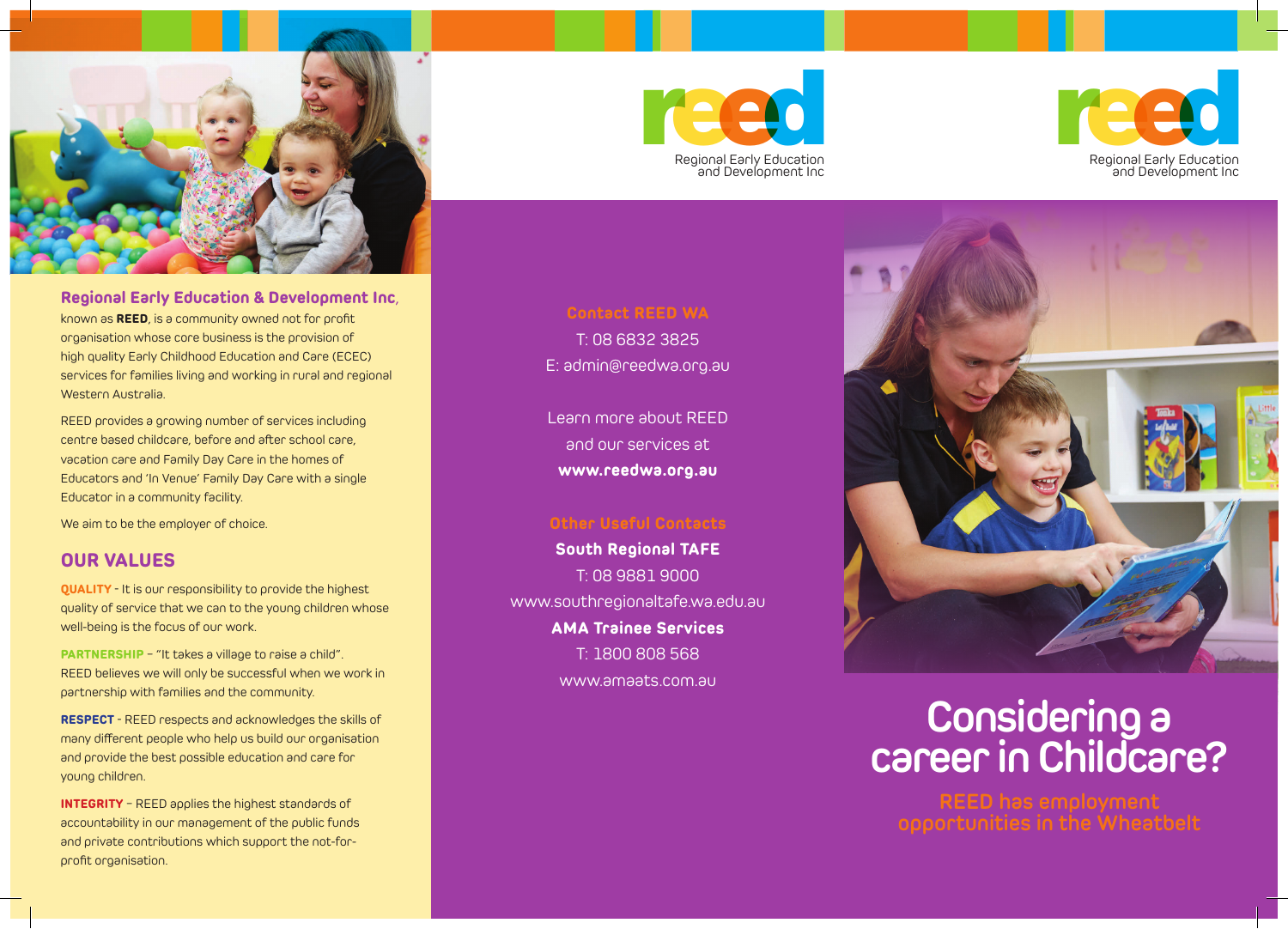

**Regional Early Education & Development Inc**, known as **REED**, is a community owned not for profit organisation whose core business is the provision of high quality Early Childhood Education and Care (ECEC) services for families living and working in rural and regional Western Australia.

REED provides a growing number of services including centre based childcare, before and after school care, vacation care and Family Day Care in the homes of Educators and 'In Venue' Family Day Care with a single Educator in a community facility.

We aim to be the employer of choice.

## **OUR VALUES**

**QUALITY** - It is our responsibility to provide the highest quality of service that we can to the young children whose well-being is the focus of our work.

**PARTNERSHIP** – "It takes a village to raise a child". REED believes we will only be successful when we work in partnership with families and the community.

**RESPECT** - REED respects and acknowledges the skills of many different people who help us build our organisation and provide the best possible education and care for young children.

**INTEGRITY** – REED applies the highest standards of accountability in our management of the public funds and private contributions which support the not-forprofit organisation.





# **Contact REED WA**

T: 08 6832 3825 E: admin@reedwa.org.au

Learn more about REED and our services at **www.reedwa.org.au**

## **Other Useful Contacts**

**South Regional TAFE** T: 08 9881 9000 www.southregionaltafe.wa.edu.au **AMA Trainee Services** T: 1800 808 568 www.amaats.com.au



# **Considering a career in Childcare?**

**REED has employment opportunities in the Wheatbelt**